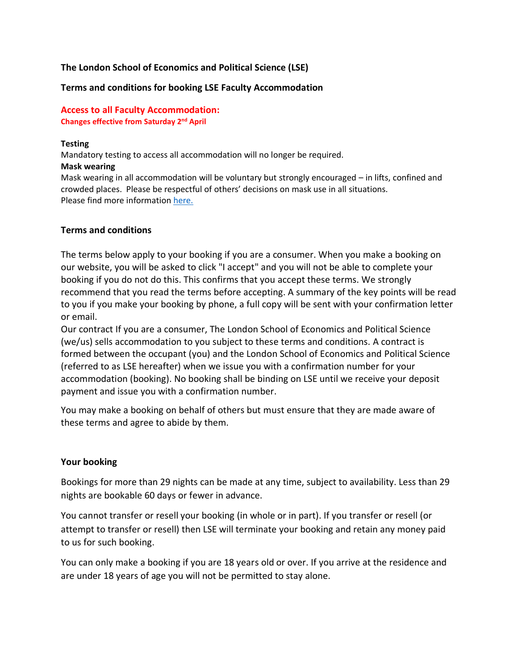### **The London School of Economics and Political Science (LSE)**

#### **Terms and conditions for booking LSE Faculty Accommodation**

#### **Access to all Faculty Accommodation: Changes effective from Saturday 2 nd April**

#### **Testing**

Mandatory testing to access all accommodation will no longer be required. **Mask wearing**

Mask wearing in all accommodation will be voluntary but strongly encouraged – in lifts, confined and crowded places. Please be respectful of others' decisions on mask use in all situations. Please find more information [here.](https://info.lse.ac.uk/coronavirus-response/Keeping-our-community-safe-on-campus#:~:text=LSE%20COVID%20measures%20%7C%20Lent%20Term%202022&text=This%20will%20help%20ensure%20we,all%20teaching%20rooms%2C%20unless%20exempt.)

#### **Terms and conditions**

The terms below apply to your booking if you are a consumer. When you make a booking on our website, you will be asked to click "I accept" and you will not be able to complete your booking if you do not do this. This confirms that you accept these terms. We strongly recommend that you read the terms before accepting. A summary of the key points will be read to you if you make your booking by phone, a full copy will be sent with your confirmation letter or email.

Our contract If you are a consumer, The London School of Economics and Political Science (we/us) sells accommodation to you subject to these terms and conditions. A contract is formed between the occupant (you) and the London School of Economics and Political Science (referred to as LSE hereafter) when we issue you with a confirmation number for your accommodation (booking). No booking shall be binding on LSE until we receive your deposit payment and issue you with a confirmation number.

You may make a booking on behalf of others but must ensure that they are made aware of these terms and agree to abide by them.

### **Your booking**

Bookings for more than 29 nights can be made at any time, subject to availability. Less than 29 nights are bookable 60 days or fewer in advance.

You cannot transfer or resell your booking (in whole or in part). If you transfer or resell (or attempt to transfer or resell) then LSE will terminate your booking and retain any money paid to us for such booking.

You can only make a booking if you are 18 years old or over. If you arrive at the residence and are under 18 years of age you will not be permitted to stay alone.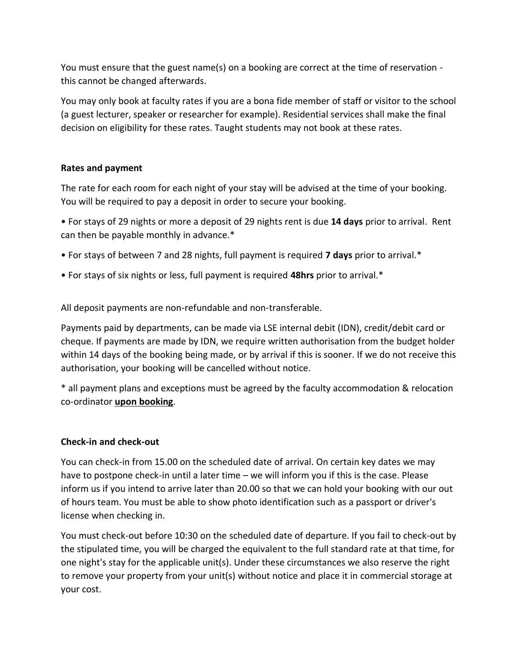You must ensure that the guest name(s) on a booking are correct at the time of reservation this cannot be changed afterwards.

You may only book at faculty rates if you are a bona fide member of staff or visitor to the school (a guest lecturer, speaker or researcher for example). Residential services shall make the final decision on eligibility for these rates. Taught students may not book at these rates.

# **Rates and payment**

The rate for each room for each night of your stay will be advised at the time of your booking. You will be required to pay a deposit in order to secure your booking.

• For stays of 29 nights or more a deposit of 29 nights rent is due **14 days** prior to arrival. Rent can then be payable monthly in advance.\*

- For stays of between 7 and 28 nights, full payment is required **7 days** prior to arrival.\*
- For stays of six nights or less, full payment is required **48hrs** prior to arrival.\*

All deposit payments are non-refundable and non-transferable.

Payments paid by departments, can be made via LSE internal debit (IDN), credit/debit card or cheque. If payments are made by IDN, we require written authorisation from the budget holder within 14 days of the booking being made, or by arrival if this is sooner. If we do not receive this authorisation, your booking will be cancelled without notice.

\* all payment plans and exceptions must be agreed by the faculty accommodation & relocation co-ordinator **upon booking**.

### **Check-in and check-out**

You can check-in from 15.00 on the scheduled date of arrival. On certain key dates we may have to postpone check-in until a later time – we will inform you if this is the case. Please inform us if you intend to arrive later than 20.00 so that we can hold your booking with our out of hours team. You must be able to show photo identification such as a passport or driver's license when checking in.

You must check-out before 10:30 on the scheduled date of departure. If you fail to check-out by the stipulated time, you will be charged the equivalent to the full standard rate at that time, for one night's stay for the applicable unit(s). Under these circumstances we also reserve the right to remove your property from your unit(s) without notice and place it in commercial storage at your cost.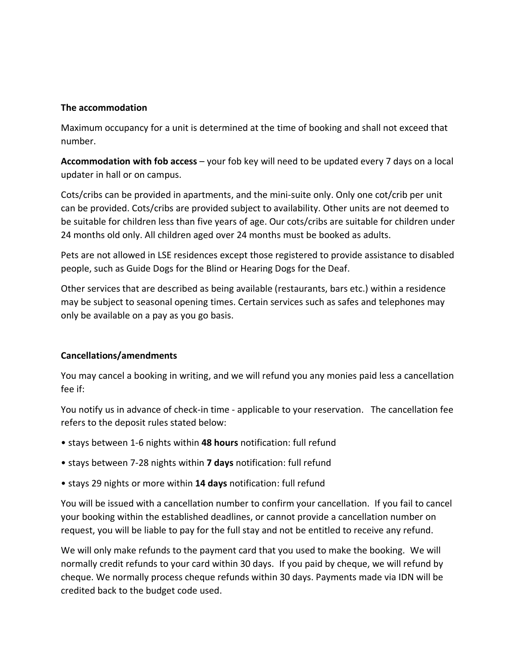### **The accommodation**

Maximum occupancy for a unit is determined at the time of booking and shall not exceed that number.

**Accommodation with fob access** – your fob key will need to be updated every 7 days on a local updater in hall or on campus.

Cots/cribs can be provided in apartments, and the mini-suite only. Only one cot/crib per unit can be provided. Cots/cribs are provided subject to availability. Other units are not deemed to be suitable for children less than five years of age. Our cots/cribs are suitable for children under 24 months old only. All children aged over 24 months must be booked as adults.

Pets are not allowed in LSE residences except those registered to provide assistance to disabled people, such as Guide Dogs for the Blind or Hearing Dogs for the Deaf.

Other services that are described as being available (restaurants, bars etc.) within a residence may be subject to seasonal opening times. Certain services such as safes and telephones may only be available on a pay as you go basis.

# **Cancellations/amendments**

You may cancel a booking in writing, and we will refund you any monies paid less a cancellation fee if:

You notify us in advance of check-in time - applicable to your reservation. The cancellation fee refers to the deposit rules stated below:

- stays between 1-6 nights within **48 hours** notification: full refund
- stays between 7-28 nights within **7 days** notification: full refund
- stays 29 nights or more within **14 days** notification: full refund

You will be issued with a cancellation number to confirm your cancellation. If you fail to cancel your booking within the established deadlines, or cannot provide a cancellation number on request, you will be liable to pay for the full stay and not be entitled to receive any refund.

We will only make refunds to the payment card that you used to make the booking. We will normally credit refunds to your card within 30 days. If you paid by cheque, we will refund by cheque. We normally process cheque refunds within 30 days. Payments made via IDN will be credited back to the budget code used.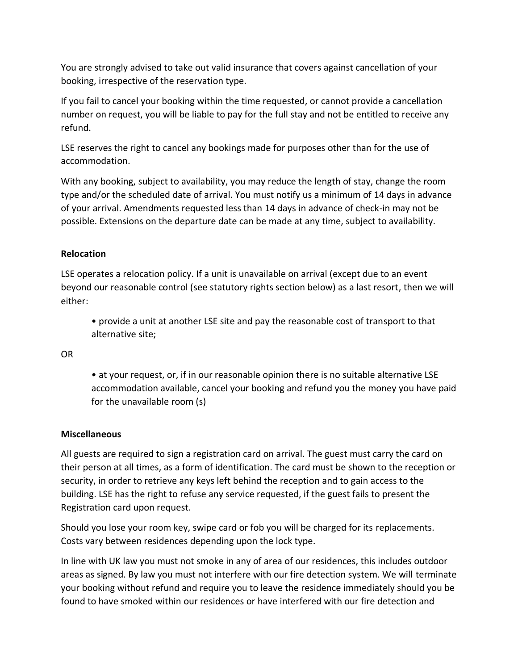You are strongly advised to take out valid insurance that covers against cancellation of your booking, irrespective of the reservation type.

If you fail to cancel your booking within the time requested, or cannot provide a cancellation number on request, you will be liable to pay for the full stay and not be entitled to receive any refund.

LSE reserves the right to cancel any bookings made for purposes other than for the use of accommodation.

With any booking, subject to availability, you may reduce the length of stay, change the room type and/or the scheduled date of arrival. You must notify us a minimum of 14 days in advance of your arrival. Amendments requested less than 14 days in advance of check-in may not be possible. Extensions on the departure date can be made at any time, subject to availability.

# **Relocation**

LSE operates a relocation policy. If a unit is unavailable on arrival (except due to an event beyond our reasonable control (see statutory rights section below) as a last resort, then we will either:

• provide a unit at another LSE site and pay the reasonable cost of transport to that alternative site;

OR

• at your request, or, if in our reasonable opinion there is no suitable alternative LSE accommodation available, cancel your booking and refund you the money you have paid for the unavailable room (s)

### **Miscellaneous**

All guests are required to sign a registration card on arrival. The guest must carry the card on their person at all times, as a form of identification. The card must be shown to the reception or security, in order to retrieve any keys left behind the reception and to gain access to the building. LSE has the right to refuse any service requested, if the guest fails to present the Registration card upon request.

Should you lose your room key, swipe card or fob you will be charged for its replacements. Costs vary between residences depending upon the lock type.

In line with UK law you must not smoke in any of area of our residences, this includes outdoor areas as signed. By law you must not interfere with our fire detection system. We will terminate your booking without refund and require you to leave the residence immediately should you be found to have smoked within our residences or have interfered with our fire detection and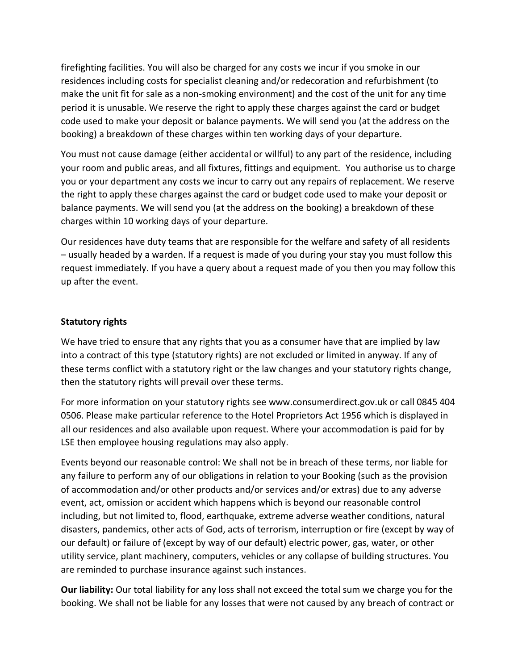firefighting facilities. You will also be charged for any costs we incur if you smoke in our residences including costs for specialist cleaning and/or redecoration and refurbishment (to make the unit fit for sale as a non-smoking environment) and the cost of the unit for any time period it is unusable. We reserve the right to apply these charges against the card or budget code used to make your deposit or balance payments. We will send you (at the address on the booking) a breakdown of these charges within ten working days of your departure.

You must not cause damage (either accidental or willful) to any part of the residence, including your room and public areas, and all fixtures, fittings and equipment. You authorise us to charge you or your department any costs we incur to carry out any repairs of replacement. We reserve the right to apply these charges against the card or budget code used to make your deposit or balance payments. We will send you (at the address on the booking) a breakdown of these charges within 10 working days of your departure.

Our residences have duty teams that are responsible for the welfare and safety of all residents – usually headed by a warden. If a request is made of you during your stay you must follow this request immediately. If you have a query about a request made of you then you may follow this up after the event.

### **Statutory rights**

We have tried to ensure that any rights that you as a consumer have that are implied by law into a contract of this type (statutory rights) are not excluded or limited in anyway. If any of these terms conflict with a statutory right or the law changes and your statutory rights change, then the statutory rights will prevail over these terms.

For more information on your statutory rights see www.consumerdirect.gov.uk or call 0845 404 0506. Please make particular reference to the Hotel Proprietors Act 1956 which is displayed in all our residences and also available upon request. Where your accommodation is paid for by LSE then employee housing regulations may also apply.

Events beyond our reasonable control: We shall not be in breach of these terms, nor liable for any failure to perform any of our obligations in relation to your Booking (such as the provision of accommodation and/or other products and/or services and/or extras) due to any adverse event, act, omission or accident which happens which is beyond our reasonable control including, but not limited to, flood, earthquake, extreme adverse weather conditions, natural disasters, pandemics, other acts of God, acts of terrorism, interruption or fire (except by way of our default) or failure of (except by way of our default) electric power, gas, water, or other utility service, plant machinery, computers, vehicles or any collapse of building structures. You are reminded to purchase insurance against such instances.

**Our liability:** Our total liability for any loss shall not exceed the total sum we charge you for the booking. We shall not be liable for any losses that were not caused by any breach of contract or